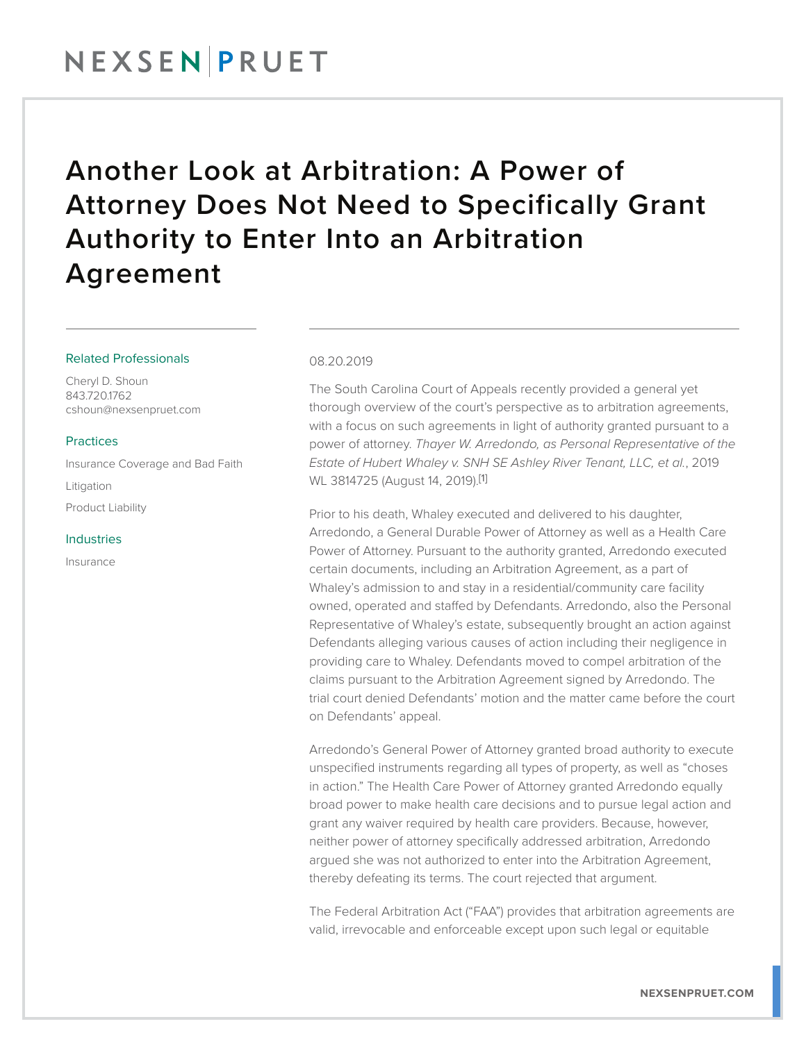## NEXSENPRUET

# Another Look at Arbitration: A Power of Attorney Does Not Need to Specifically Grant Authority to Enter Into an Arbitration Agreement

## Related Professionals

Cheryl D. Shoun 843.720.1762 cshoun@nexsenpruet.com

## **Practices**

Insurance Coverage and Bad Faith Litigation Product Liability

#### Industries

Insurance

### 08.20.2019

The South Carolina Court of Appeals recently provided a general yet thorough overview of the court's perspective as to arbitration agreements, with a focus on such agreements in light of authority granted pursuant to a power of attorney. *Thayer W. Arredondo, as Personal Representative of the Estate of Hubert Whaley v. SNH SE Ashley River Tenant, LLC, et al.*, 2019 WL 3814725 (August 14, 2019).[1]

Prior to his death, Whaley executed and delivered to his daughter, Arredondo, a General Durable Power of Attorney as well as a Health Care Power of Attorney. Pursuant to the authority granted, Arredondo executed certain documents, including an Arbitration Agreement, as a part of Whaley's admission to and stay in a residential/community care facility owned, operated and staffed by Defendants. Arredondo, also the Personal Representative of Whaley's estate, subsequently brought an action against Defendants alleging various causes of action including their negligence in providing care to Whaley. Defendants moved to compel arbitration of the claims pursuant to the Arbitration Agreement signed by Arredondo. The trial court denied Defendants' motion and the matter came before the court on Defendants' appeal.

Arredondo's General Power of Attorney granted broad authority to execute unspecified instruments regarding all types of property, as well as "choses in action." The Health Care Power of Attorney granted Arredondo equally broad power to make health care decisions and to pursue legal action and grant any waiver required by health care providers. Because, however, neither power of attorney specifically addressed arbitration, Arredondo argued she was not authorized to enter into the Arbitration Agreement, thereby defeating its terms. The court rejected that argument.

The Federal Arbitration Act ("FAA") provides that arbitration agreements are valid, irrevocable and enforceable except upon such legal or equitable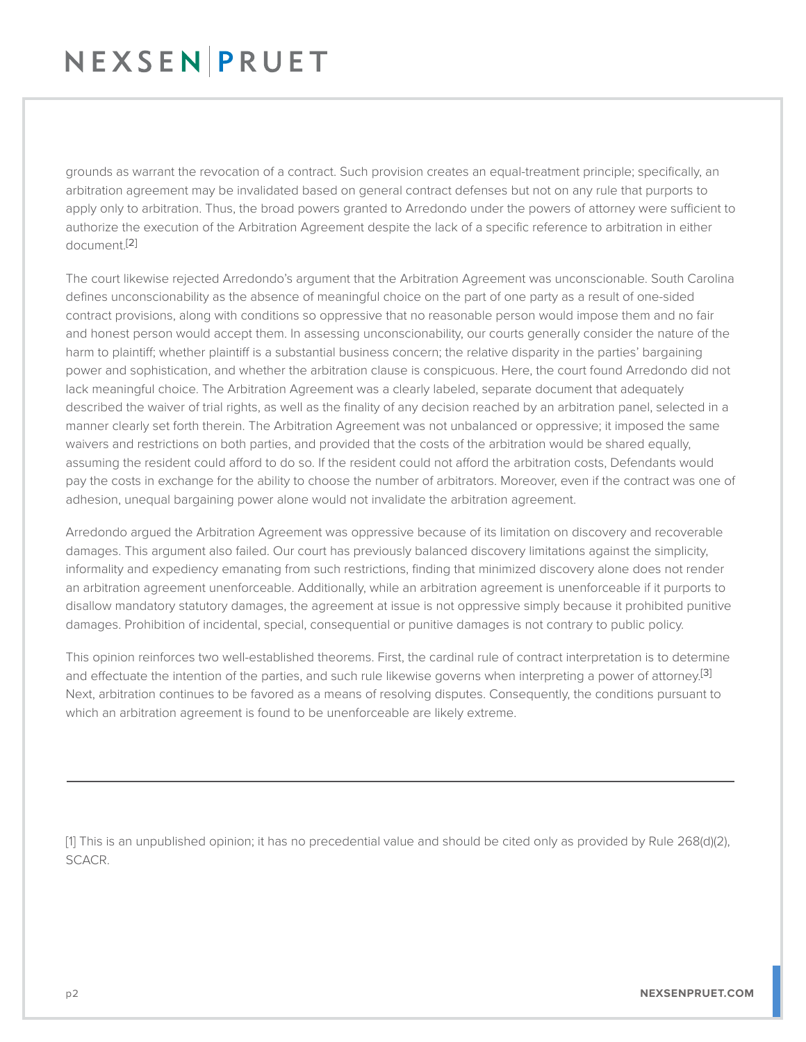# NEXSENPRUET

grounds as warrant the revocation of a contract. Such provision creates an equal-treatment principle; specifically, an arbitration agreement may be invalidated based on general contract defenses but not on any rule that purports to apply only to arbitration. Thus, the broad powers granted to Arredondo under the powers of attorney were sufficient to authorize the execution of the Arbitration Agreement despite the lack of a specific reference to arbitration in either document.[2]

The court likewise rejected Arredondo's argument that the Arbitration Agreement was unconscionable. South Carolina defines unconscionability as the absence of meaningful choice on the part of one party as a result of one-sided contract provisions, along with conditions so oppressive that no reasonable person would impose them and no fair and honest person would accept them. In assessing unconscionability, our courts generally consider the nature of the harm to plaintiff; whether plaintiff is a substantial business concern; the relative disparity in the parties' bargaining power and sophistication, and whether the arbitration clause is conspicuous. Here, the court found Arredondo did not lack meaningful choice. The Arbitration Agreement was a clearly labeled, separate document that adequately described the waiver of trial rights, as well as the finality of any decision reached by an arbitration panel, selected in a manner clearly set forth therein. The Arbitration Agreement was not unbalanced or oppressive; it imposed the same waivers and restrictions on both parties, and provided that the costs of the arbitration would be shared equally, assuming the resident could afford to do so. If the resident could not afford the arbitration costs, Defendants would pay the costs in exchange for the ability to choose the number of arbitrators. Moreover, even if the contract was one of adhesion, unequal bargaining power alone would not invalidate the arbitration agreement.

Arredondo argued the Arbitration Agreement was oppressive because of its limitation on discovery and recoverable damages. This argument also failed. Our court has previously balanced discovery limitations against the simplicity, informality and expediency emanating from such restrictions, finding that minimized discovery alone does not render an arbitration agreement unenforceable. Additionally, while an arbitration agreement is unenforceable if it purports to disallow mandatory statutory damages, the agreement at issue is not oppressive simply because it prohibited punitive damages. Prohibition of incidental, special, consequential or punitive damages is not contrary to public policy.

This opinion reinforces two well-established theorems. First, the cardinal rule of contract interpretation is to determine and effectuate the intention of the parties, and such rule likewise governs when interpreting a power of attorney.<sup>[3]</sup> Next, arbitration continues to be favored as a means of resolving disputes. Consequently, the conditions pursuant to which an arbitration agreement is found to be unenforceable are likely extreme.

[1] This is an unpublished opinion; it has no precedential value and should be cited only as provided by Rule 268(d)(2), SCACR.

L